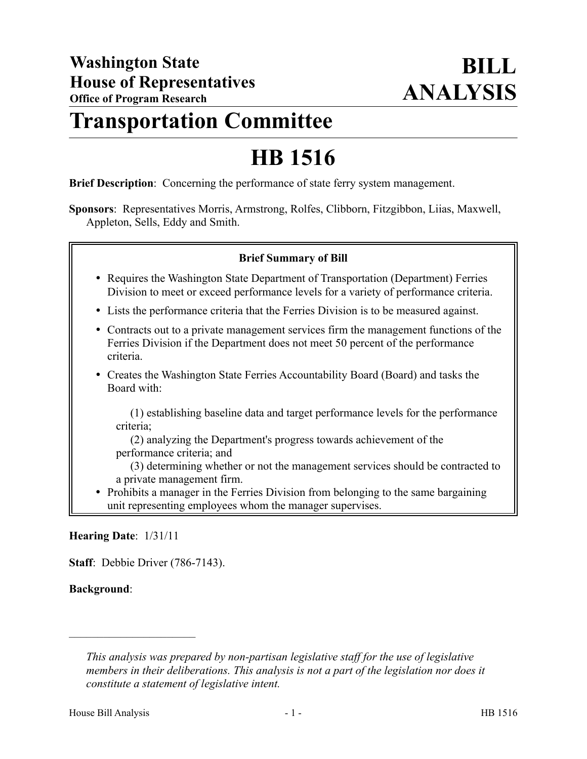## **Transportation Committee**

# **HB 1516**

**Brief Description**: Concerning the performance of state ferry system management.

**Sponsors**: Representatives Morris, Armstrong, Rolfes, Clibborn, Fitzgibbon, Liias, Maxwell, Appleton, Sells, Eddy and Smith.

### **Brief Summary of Bill**

- Requires the Washington State Department of Transportation (Department) Ferries Division to meet or exceed performance levels for a variety of performance criteria.
- Lists the performance criteria that the Ferries Division is to be measured against.
- Contracts out to a private management services firm the management functions of the Ferries Division if the Department does not meet 50 percent of the performance criteria.
- Creates the Washington State Ferries Accountability Board (Board) and tasks the Board with:

(1) establishing baseline data and target performance levels for the performance criteria;

(2) analyzing the Department's progress towards achievement of the performance criteria; and

(3) determining whether or not the management services should be contracted to a private management firm.

• Prohibits a manager in the Ferries Division from belonging to the same bargaining unit representing employees whom the manager supervises.

### **Hearing Date**: 1/31/11

––––––––––––––––––––––

**Staff**: Debbie Driver (786-7143).

### **Background**:

*This analysis was prepared by non-partisan legislative staff for the use of legislative members in their deliberations. This analysis is not a part of the legislation nor does it constitute a statement of legislative intent.*